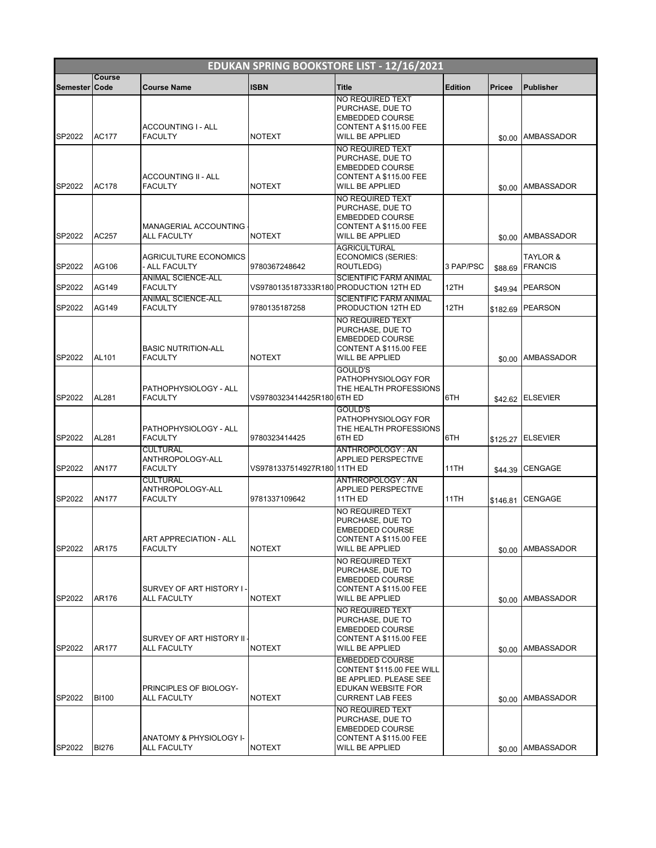|                 | EDUKAN SPRING BOOKSTORE LIST - 12/16/2021 |                                                       |                             |                                                                                                                                |                |          |                            |  |  |  |
|-----------------|-------------------------------------------|-------------------------------------------------------|-----------------------------|--------------------------------------------------------------------------------------------------------------------------------|----------------|----------|----------------------------|--|--|--|
| Semester   Code | Course                                    | <b>Course Name</b>                                    | <b>ISBN</b>                 | <b>Title</b>                                                                                                                   | <b>Edition</b> | Pricee   | <b>Publisher</b>           |  |  |  |
| SP2022          | <b>AC177</b>                              | ACCOUNTING I - ALL<br><b>FACULTY</b>                  | <b>NOTEXT</b>               | NO REQUIRED TEXT<br>PURCHASE, DUE TO<br><b>EMBEDDED COURSE</b><br>CONTENT A \$115.00 FEE<br><b>WILL BE APPLIED</b>             |                | \$0.00   | AMBASSADOR                 |  |  |  |
| SP2022          | AC178                                     | <b>ACCOUNTING II - ALL</b><br><b>FACULTY</b>          | <b>NOTEXT</b>               | NO REQUIRED TEXT<br>PURCHASE, DUE TO<br><b>EMBEDDED COURSE</b><br>CONTENT A \$115.00 FEE<br><b>WILL BE APPLIED</b>             |                | \$0.00   | <b>AMBASSADOR</b>          |  |  |  |
| SP2022          | AC257                                     | MANAGERIAL ACCOUNTING<br><b>ALL FACULTY</b>           | <b>NOTEXT</b>               | NO REQUIRED TEXT<br>PURCHASE, DUE TO<br><b>EMBEDDED COURSE</b><br>CONTENT A \$115.00 FEE<br>WILL BE APPLIED                    |                |          | \$0.00 AMBASSADOR          |  |  |  |
| SP2022          | AG106                                     | <b>AGRICULTURE ECONOMICS</b><br>- ALL FACULTY         | 9780367248642               | <b>AGRICULTURAL</b><br><b>ECONOMICS (SERIES:</b><br>ROUTLEDG)                                                                  | 3 PAP/PSC      | \$88.69  | TAYLOR &<br><b>FRANCIS</b> |  |  |  |
| SP2022          | AG149                                     | <b>ANIMAL SCIENCE-ALL</b><br><b>FACULTY</b>           |                             | <b>SCIENTIFIC FARM ANIMAL</b><br>VS9780135187333R180 PRODUCTION 12TH ED                                                        | 12TH           | \$49.94  | <b>PEARSON</b>             |  |  |  |
| SP2022          | AG149                                     | <b>ANIMAL SCIENCE-ALL</b><br><b>FACULTY</b>           | 9780135187258               | <b>SCIENTIFIC FARM ANIMAL</b><br>PRODUCTION 12TH ED<br>NO REQUIRED TEXT                                                        | 12TH           | \$182.69 | <b>PEARSON</b>             |  |  |  |
| SP2022          | AL101                                     | <b>BASIC NUTRITION-ALL</b><br><b>FACULTY</b>          | <b>NOTEXT</b>               | PURCHASE, DUE TO<br><b>EMBEDDED COURSE</b><br>CONTENT A \$115.00 FEE<br><b>WILL BE APPLIED</b>                                 |                |          | \$0.00 AMBASSADOR          |  |  |  |
| SP2022          | AL281                                     | PATHOPHYSIOLOGY - ALL<br><b>FACULTY</b>               | VS9780323414425R180 6TH ED  | GOULD'S<br>PATHOPHYSIOLOGY FOR<br>THE HEALTH PROFESSIONS                                                                       | 6TH            |          | \$42.62 ELSEVIER           |  |  |  |
| SP2022          | AL281                                     | PATHOPHYSIOLOGY - ALL<br><b>FACULTY</b>               | 9780323414425               | <b>GOULD'S</b><br>PATHOPHYSIOLOGY FOR<br>THE HEALTH PROFESSIONS<br>6TH ED                                                      | 6TH            | \$125.27 | <b>ELSEVIER</b>            |  |  |  |
| SP2022          | <b>AN177</b>                              | <b>CULTURAL</b><br>ANTHROPOLOGY-ALL<br><b>FACULTY</b> | VS9781337514927R180 11TH ED | ANTHROPOLOGY: AN<br>APPLIED PERSPECTIVE                                                                                        | 11TH           | \$44.39  | <b>CENGAGE</b>             |  |  |  |
| SP2022          | <b>AN177</b>                              | <b>CULTURAL</b><br>ANTHROPOLOGY-ALL<br><b>FACULTY</b> | 9781337109642               | ANTHROPOLOGY: AN<br>APPLIED PERSPECTIVE<br>11TH ED                                                                             | 11TH           | \$146.81 | <b>CENGAGE</b>             |  |  |  |
| SP2022          | AR175                                     | ART APPRECIATION - ALL<br><b>FACULTY</b>              | <b>NOTEXT</b>               | NO REQUIRED TEXT<br>PURCHASE, DUE TO<br><b>EMBEDDED COURSE</b><br>CONTENT A \$115.00 FEE<br><b>WILL BE APPLIED</b>             |                | \$0.00   | <b>AMBASSADOR</b>          |  |  |  |
| SP2022          | AR176                                     | SURVEY OF ART HISTORY I<br><b>ALL FACULTY</b>         | <b>NOTEXT</b>               | NO REQUIRED TEXT<br>PURCHASE, DUE TO<br><b>EMBEDDED COURSE</b><br>CONTENT A \$115.00 FEE<br><b>WILL BE APPLIED</b>             |                | \$0.00   | <b>AMBASSADOR</b>          |  |  |  |
| SP2022          | AR177                                     | SURVEY OF ART HISTORY II -<br><b>ALL FACULTY</b>      | <b>NOTEXT</b>               | NO REQUIRED TEXT<br>PURCHASE, DUE TO<br><b>EMBEDDED COURSE</b><br>CONTENT A \$115.00 FEE<br>WILL BE APPLIED                    |                | \$0.00   | <b>AMBASSADOR</b>          |  |  |  |
| SP2022          | <b>BI100</b>                              | PRINCIPLES OF BIOLOGY-<br><b>ALL FACULTY</b>          | <b>NOTEXT</b>               | <b>EMBEDDED COURSE</b><br>CONTENT \$115.00 FEE WILL<br>BE APPLIED. PLEASE SEE<br>EDUKAN WEBSITE FOR<br><b>CURRENT LAB FEES</b> |                |          | \$0.00 AMBASSADOR          |  |  |  |
| SP2022          | <b>BI276</b>                              | ANATOMY & PHYSIOLOGY I-<br><b>ALL FACULTY</b>         | <b>NOTEXT</b>               | NO REQUIRED TEXT<br>PURCHASE, DUE TO<br><b>EMBEDDED COURSE</b><br>CONTENT A \$115.00 FEE<br>WILL BE APPLIED                    |                |          | \$0.00 AMBASSADOR          |  |  |  |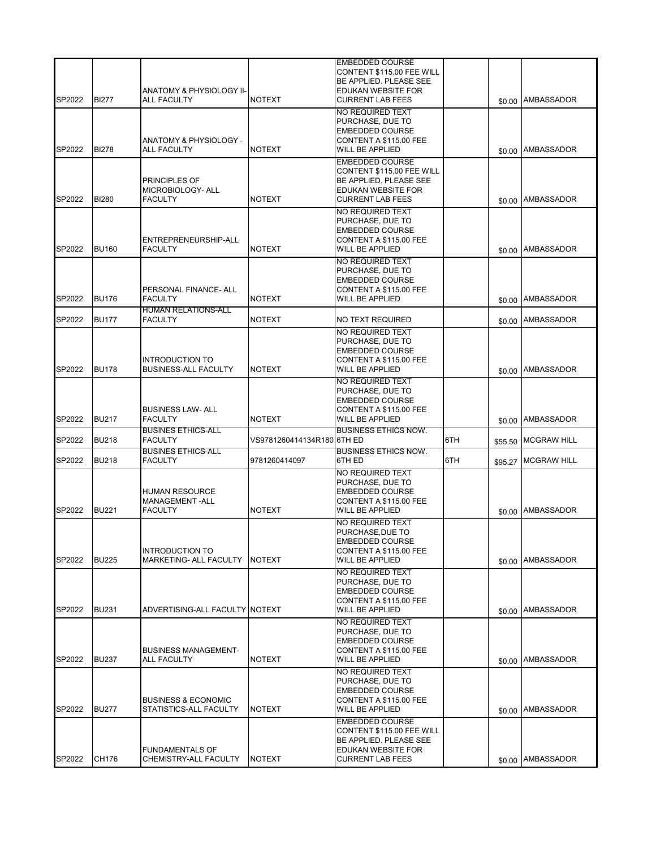| SP2022 | <b>BI277</b> | <b>ANATOMY &amp; PHYSIOLOGY II-</b><br><b>ALL FACULTY</b>   | <b>NOTEXT</b>              | <b>EMBEDDED COURSE</b><br>CONTENT \$115.00 FEE WILL<br>BE APPLIED. PLEASE SEE<br>EDUKAN WEBSITE FOR<br><b>CURRENT LAB FEES</b> |     |         | \$0.00 AMBASSADOR   |
|--------|--------------|-------------------------------------------------------------|----------------------------|--------------------------------------------------------------------------------------------------------------------------------|-----|---------|---------------------|
| SP2022 | <b>BI278</b> | ANATOMY & PHYSIOLOGY -<br><b>ALL FACULTY</b>                | <b>NOTEXT</b>              | NO REQUIRED TEXT<br>PURCHASE, DUE TO<br><b>EMBEDDED COURSE</b><br>CONTENT A \$115.00 FEE<br>WILL BE APPLIED                    |     |         | \$0.00 AMBASSADOR   |
| SP2022 | <b>BI280</b> | <b>PRINCIPLES OF</b><br>MICROBIOLOGY- ALL<br><b>FACULTY</b> | <b>NOTEXT</b>              | <b>EMBEDDED COURSE</b><br>CONTENT \$115.00 FEE WILL<br>BE APPLIED. PLEASE SEE<br>EDUKAN WEBSITE FOR<br><b>CURRENT LAB FEES</b> |     |         | \$0.00 AMBASSADOR   |
| SP2022 | <b>BU160</b> | ENTREPRENEURSHIP-ALL<br><b>FACULTY</b>                      | <b>NOTEXT</b>              | NO REQUIRED TEXT<br>PURCHASE, DUE TO<br>EMBEDDED COURSE<br>CONTENT A \$115.00 FEE<br>WILL BE APPLIED                           |     |         | \$0.00 AMBASSADOR   |
| SP2022 | <b>BU176</b> | PERSONAL FINANCE- ALL<br><b>FACULTY</b>                     | <b>NOTEXT</b>              | NO REQUIRED TEXT<br>PURCHASE, DUE TO<br><b>EMBEDDED COURSE</b><br>CONTENT A \$115.00 FEE<br>WILL BE APPLIED                    |     |         | \$0.00 AMBASSADOR   |
| SP2022 | <b>BU177</b> | <b>HUMAN RELATIONS-ALL</b><br><b>FACULTY</b>                | <b>NOTEXT</b>              | NO TEXT REQUIRED                                                                                                               |     |         | \$0.00 AMBASSADOR   |
| SP2022 | <b>BU178</b> | <b>INTRODUCTION TO</b><br><b>BUSINESS-ALL FACULTY</b>       | <b>NOTEXT</b>              | NO REQUIRED TEXT<br>PURCHASE, DUE TO<br><b>EMBEDDED COURSE</b><br>CONTENT A \$115.00 FEE<br><b>WILL BE APPLIED</b>             |     |         | \$0.00 AMBASSADOR   |
| SP2022 | <b>BU217</b> | <b>BUSINESS LAW- ALL</b><br><b>FACULTY</b>                  | <b>NOTEXT</b>              | <b>NO REQUIRED TEXT</b><br>PURCHASE, DUE TO<br><b>EMBEDDED COURSE</b><br>CONTENT A \$115.00 FEE<br><b>WILL BE APPLIED</b>      |     | \$0.00  | <b>AMBASSADOR</b>   |
| SP2022 | <b>BU218</b> | <b>BUSINES ETHICS-ALL</b><br><b>FACULTY</b>                 | VS9781260414134R180 6TH ED | <b>BUSINESS ETHICS NOW.</b>                                                                                                    | 6TH | \$55.50 | <b>MCGRAW HILL</b>  |
| SP2022 | <b>BU218</b> | <b>BUSINES ETHICS-ALL</b><br><b>FACULTY</b>                 | 9781260414097              | <b>BUSINESS ETHICS NOW.</b><br>6TH ED                                                                                          | 6TH |         | \$95.27 MCGRAW HILL |
| SP2022 | <b>BU221</b> | <b>HUMAN RESOURCE</b><br>MANAGEMENT-ALL<br><b>FACULTY</b>   | <b>NOTEXT</b>              | NO REQUIRED TEXT<br>PURCHASE, DUE TO<br><b>EMBEDDED COURSE</b><br>CONTENT A \$115.00 FEE<br><b>WILL BE APPLIED</b>             |     |         | \$0.00 AMBASSADOR   |
| SP2022 | <b>BU225</b> | <b>INTRODUCTION TO</b><br>MARKETING- ALL FACULTY            | <b>NOTEXT</b>              | NO REQUIRED TEXT<br>PURCHASE, DUE TO<br><b>EMBEDDED COURSE</b><br>CONTENT A \$115.00 FEE<br>WILL BE APPLIED                    |     |         | \$0.00 AMBASSADOR   |
| SP2022 | <b>BU231</b> | ADVERTISING-ALL FACULTY NOTEXT                              |                            | NO REQUIRED TEXT<br>PURCHASE, DUE TO<br><b>EMBEDDED COURSE</b><br>CONTENT A \$115.00 FEE<br>WILL BE APPLIED                    |     |         | \$0.00 AMBASSADOR   |
| SP2022 | <b>BU237</b> | <b>BUSINESS MANAGEMENT-</b><br><b>ALL FACULTY</b>           | <b>NOTEXT</b>              | NO REQUIRED TEXT<br>PURCHASE, DUE TO<br>EMBEDDED COURSE<br>CONTENT A \$115.00 FEE<br>WILL BE APPLIED                           |     |         | \$0.00 AMBASSADOR   |
| SP2022 | <b>BU277</b> | <b>BUSINESS &amp; ECONOMIC</b><br>STATISTICS-ALL FACULTY    | <b>NOTEXT</b>              | NO REQUIRED TEXT<br>PURCHASE, DUE TO<br><b>EMBEDDED COURSE</b><br>CONTENT A \$115.00 FEE<br>WILL BE APPLIED                    |     |         | \$0.00 AMBASSADOR   |
| SP2022 | CH176        | <b>FUNDAMENTALS OF</b><br>CHEMISTRY-ALL FACULTY             | <b>NOTEXT</b>              | EMBEDDED COURSE<br>CONTENT \$115.00 FEE WILL<br>BE APPLIED. PLEASE SEE<br>EDUKAN WEBSITE FOR<br><b>CURRENT LAB FEES</b>        |     |         | \$0.00 AMBASSADOR   |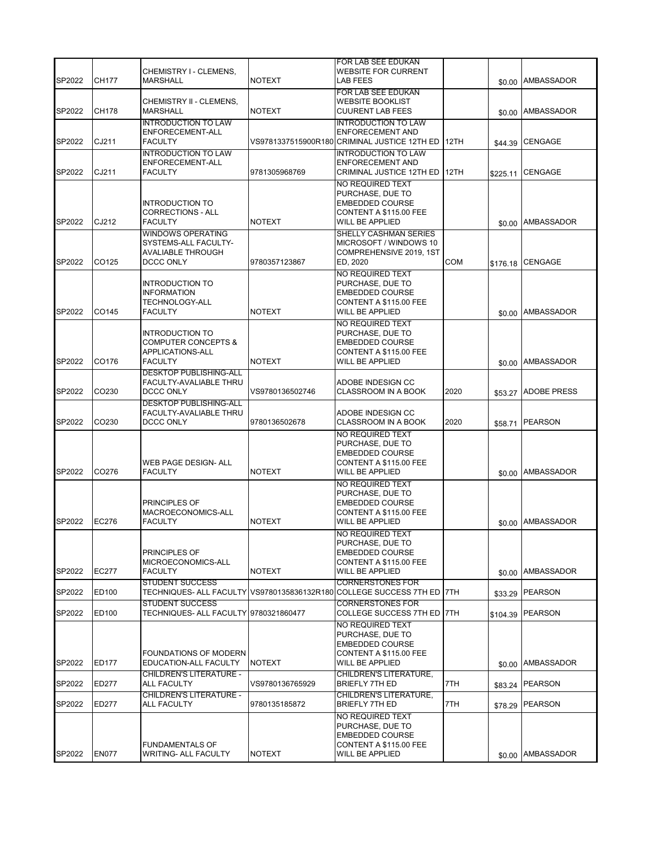|        |              | CHEMISTRY I - CLEMENS,                                                                         |                 | FOR LAB SEE EDUKAN<br><b>WEBSITE FOR CURRENT</b>                                                                   |      |          |                    |
|--------|--------------|------------------------------------------------------------------------------------------------|-----------------|--------------------------------------------------------------------------------------------------------------------|------|----------|--------------------|
| SP2022 | <b>CH177</b> | MARSHALL                                                                                       | <b>NOTEXT</b>   | LAB FEES                                                                                                           |      |          | \$0.00 AMBASSADOR  |
| SP2022 | <b>CH178</b> | CHEMISTRY II - CLEMENS,<br><b>MARSHALL</b>                                                     | <b>NOTEXT</b>   | FOR LAB SEE EDUKAN<br><b>WEBSITE BOOKLIST</b><br><b>CUURENT LAB FEES</b>                                           |      | \$0.00   | AMBASSADOR         |
| SP2022 | CJ211        | <b>INTRODUCTION TO LAW</b><br>ENFORECEMENT-ALL<br><b>FACULTY</b>                               |                 | <b>INTRODUCTION TO LAW</b><br><b>ENFORECEMENT AND</b><br>VS9781337515900R180 CRIMINAL JUSTICE 12TH ED              | 12TH | \$44.39  | <b>CENGAGE</b>     |
| SP2022 | CJ211        | <b>INTRODUCTION TO LAW</b><br>ENFORECEMENT-ALL<br><b>FACULTY</b>                               | 9781305968769   | <b>INTRODUCTION TO LAW</b><br><b>ENFORECEMENT AND</b><br><b>CRIMINAL JUSTICE 12TH ED</b>                           | 12TH | \$225.11 | <b>CENGAGE</b>     |
| SP2022 | CJ212        | <b>INTRODUCTION TO</b><br><b>CORRECTIONS - ALL</b><br><b>FACULTY</b>                           | <b>NOTEXT</b>   | NO REQUIRED TEXT<br>PURCHASE, DUE TO<br><b>EMBEDDED COURSE</b><br>CONTENT A \$115.00 FEE<br><b>WILL BE APPLIED</b> |      |          | \$0.00 AMBASSADOR  |
| SP2022 | CO125        | <b>WINDOWS OPERATING</b><br>SYSTEMS-ALL FACULTY-<br><b>AVALIABLE THROUGH</b><br>DCCC ONLY      | 9780357123867   | SHELLY CASHMAN SERIES<br>MICROSOFT / WINDOWS 10<br>COMPREHENSIVE 2019, 1ST<br>ED, 2020                             | COM  | \$176.18 | <b>CENGAGE</b>     |
| SP2022 | CO145        | <b>INTRODUCTION TO</b><br><b>INFORMATION</b><br><b>TECHNOLOGY-ALL</b><br><b>FACULTY</b>        | <b>NOTEXT</b>   | NO REQUIRED TEXT<br>PURCHASE, DUE TO<br><b>EMBEDDED COURSE</b><br>CONTENT A \$115.00 FEE<br><b>WILL BE APPLIED</b> |      |          | \$0.00 AMBASSADOR  |
| SP2022 | CO176        | <b>INTRODUCTION TO</b><br><b>COMPUTER CONCEPTS &amp;</b><br>APPLICATIONS-ALL<br><b>FACULTY</b> | <b>NOTEXT</b>   | NO REQUIRED TEXT<br>PURCHASE, DUE TO<br><b>EMBEDDED COURSE</b><br>CONTENT A \$115.00 FEE<br><b>WILL BE APPLIED</b> |      |          | \$0.00 AMBASSADOR  |
| SP2022 | CO230        | <b>DESKTOP PUBLISHING-ALL</b><br>FACULTY-AVALIABLE THRU<br>DCCC ONLY                           | VS9780136502746 | ADOBE INDESIGN CC<br><b>CLASSROOM IN A BOOK</b>                                                                    | 2020 | \$53.27  | <b>ADOBE PRESS</b> |
| SP2022 | CO230        | <b>DESKTOP PUBLISHING-ALL</b><br>FACULTY-AVALIABLE THRU<br>DCCC ONLY                           | 9780136502678   | ADOBE INDESIGN CC<br>CLASSROOM IN A BOOK                                                                           | 2020 | \$58.71  | <b>PEARSON</b>     |
| SP2022 | CO276        | WEB PAGE DESIGN- ALL<br><b>FACULTY</b>                                                         | <b>NOTEXT</b>   | NO REQUIRED TEXT<br>PURCHASE, DUE TO<br><b>EMBEDDED COURSE</b><br>CONTENT A \$115.00 FEE<br><b>WILL BE APPLIED</b> |      |          | \$0.00 AMBASSADOR  |
| SP2022 | <b>EC276</b> | PRINCIPLES OF<br>MACROECONOMICS-ALL<br><b>FACULTY</b>                                          | <b>NOTEXT</b>   | NO REQUIRED TEXT<br>PURCHASE, DUE TO<br><b>EMBEDDED COURSE</b><br>CONTENT A \$115.00 FEE<br><b>WILL BE APPLIED</b> |      |          | \$0.00 AMBASSADOR  |
| SP2022 | <b>EC277</b> | PRINCIPLES OF<br>MICROECONOMICS-ALL<br><b>FACULTY</b>                                          | <b>NOTEXT</b>   | NO REQUIRED TEXT<br>PURCHASE, DUE TO<br><b>EMBEDDED COURSE</b><br>CONTENT A \$115.00 FEE<br><b>WILL BE APPLIED</b> |      |          | \$0.00 AMBASSADOR  |
| SP2022 | ED100        | <b>STUDENT SUCCESS</b>                                                                         |                 | CORNERSTONES FOR<br>TECHNIQUES- ALL FACULTY   VS9780135836132R180   COLLEGE SUCCESS 7TH ED   7TH                   |      | \$33.29  | <b>PEARSON</b>     |
| SP2022 | ED100        | <b>STUDENT SUCCESS</b><br>TECHNIQUES- ALL FACULTY 9780321860477                                |                 | <b>CORNERSTONES FOR</b><br>COLLEGE SUCCESS 7TH ED                                                                  | 7TH  | \$104.39 | <b>PEARSON</b>     |
| SP2022 | <b>ED177</b> | FOUNDATIONS OF MODERN<br>EDUCATION-ALL FACULTY                                                 | <b>NOTEXT</b>   | NO REQUIRED TEXT<br>PURCHASE, DUE TO<br><b>EMBEDDED COURSE</b><br>CONTENT A \$115.00 FEE<br><b>WILL BE APPLIED</b> |      |          | \$0.00 AMBASSADOR  |
| SP2022 | ED277        | <b>CHILDREN'S LITERATURE -</b><br>ALL FACULTY                                                  | VS9780136765929 | <b>CHILDREN'S LITERATURE,</b><br><b>BRIEFLY 7TH ED</b>                                                             | 7TH  | \$83.24  | <b>PEARSON</b>     |
| SP2022 | <b>ED277</b> | <b>CHILDREN'S LITERATURE -</b><br><b>ALL FACULTY</b>                                           | 9780135185872   | <b>CHILDREN'S LITERATURE,</b><br><b>BRIEFLY 7TH ED</b>                                                             | 7TH  | \$78.29  | PEARSON            |
| SP2022 | <b>EN077</b> | <b>FUNDAMENTALS OF</b><br><b>WRITING- ALL FACULTY</b>                                          | <b>NOTEXT</b>   | NO REQUIRED TEXT<br>PURCHASE, DUE TO<br><b>EMBEDDED COURSE</b><br>CONTENT A \$115.00 FEE<br><b>WILL BE APPLIED</b> |      |          | \$0.00 AMBASSADOR  |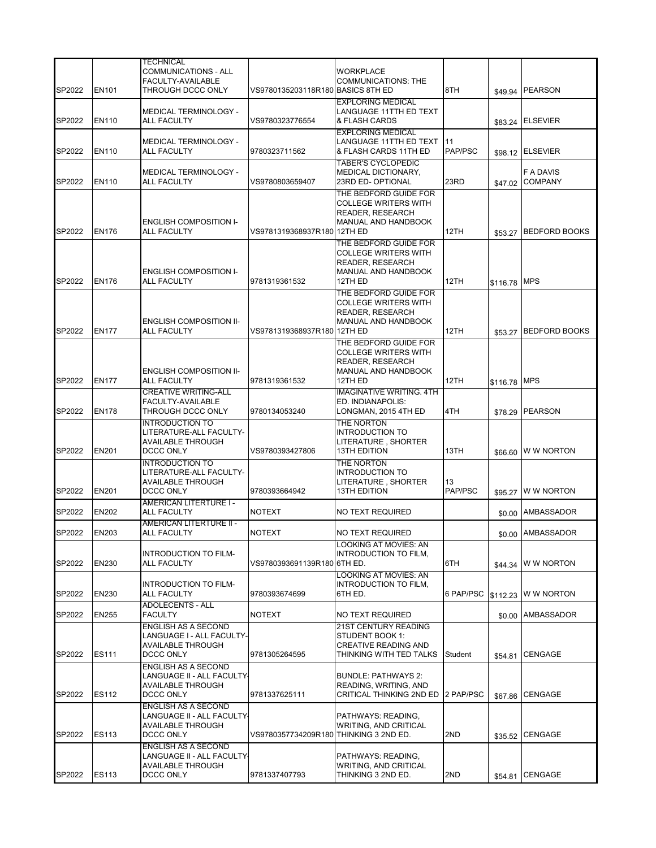|        |              | <b>TECHNICAL</b>                                         |                                        |                                                      |           |          |                      |
|--------|--------------|----------------------------------------------------------|----------------------------------------|------------------------------------------------------|-----------|----------|----------------------|
|        |              | COMMUNICATIONS - ALL                                     |                                        | <b>WORKPLACE</b>                                     |           |          |                      |
|        |              | FACULTY-AVAILABLE                                        |                                        | <b>COMMUNICATIONS: THE</b>                           |           |          |                      |
| SP2022 | <b>EN101</b> | THROUGH DCCC ONLY                                        | VS9780135203118R180 BASICS 8TH ED      |                                                      | 8TH       |          | \$49.94 PEARSON      |
|        |              | <b>MEDICAL TERMINOLOGY -</b>                             |                                        | <b>EXPLORING MEDICAL</b><br>LANGUAGE 11TTH ED TEXT   |           |          |                      |
| SP2022 | <b>EN110</b> | ALL FACULTY                                              | VS9780323776554                        | & FLASH CARDS                                        |           | \$83.24  | <b>ELSEVIER</b>      |
|        |              |                                                          |                                        | <b>EXPLORING MEDICAL</b>                             |           |          |                      |
|        |              | MEDICAL TERMINOLOGY -                                    |                                        | LANGUAGE 11TTH ED TEXT                               | 11        |          |                      |
| SP2022 | <b>EN110</b> | <b>ALL FACULTY</b>                                       | 9780323711562                          | & FLASH CARDS 11TH ED                                | PAP/PSC   |          | \$98.12 ELSEVIER     |
|        |              |                                                          |                                        | <b>TABER'S CYCLOPEDIC</b>                            |           |          |                      |
|        |              | <b>MEDICAL TERMINOLOGY -</b>                             |                                        | MEDICAL DICTIONARY,                                  |           |          | F A DAVIS            |
| SP2022 | <b>EN110</b> | <b>ALL FACULTY</b>                                       | VS9780803659407                        | 23RD ED-OPTIONAL                                     | 23RD      | \$47.02  | <b>COMPANY</b>       |
|        |              |                                                          |                                        | THE BEDFORD GUIDE FOR                                |           |          |                      |
|        |              |                                                          |                                        | <b>COLLEGE WRITERS WITH</b>                          |           |          |                      |
|        |              | <b>ENGLISH COMPOSITION I-</b>                            |                                        | READER, RESEARCH<br>MANUAL AND HANDBOOK              |           |          |                      |
| SP2022 | <b>EN176</b> | ALL FACULTY                                              | VS9781319368937R180 12TH ED            |                                                      | 12TH      | \$53.27  | <b>BEDFORD BOOKS</b> |
|        |              |                                                          |                                        | THE BEDFORD GUIDE FOR                                |           |          |                      |
|        |              |                                                          |                                        | <b>COLLEGE WRITERS WITH</b>                          |           |          |                      |
|        |              |                                                          |                                        | READER, RESEARCH                                     |           |          |                      |
|        |              | <b>ENGLISH COMPOSITION I-</b>                            |                                        | MANUAL AND HANDBOOK                                  |           |          |                      |
| SP2022 | <b>EN176</b> | ALL FACULTY                                              | 9781319361532                          | 12TH ED                                              | 12TH      | \$116.78 | <b>MPS</b>           |
|        |              |                                                          |                                        | THE BEDFORD GUIDE FOR                                |           |          |                      |
|        |              |                                                          |                                        | <b>COLLEGE WRITERS WITH</b>                          |           |          |                      |
|        |              |                                                          |                                        | READER, RESEARCH                                     |           |          |                      |
| SP2022 | <b>EN177</b> | <b>ENGLISH COMPOSITION II-</b><br><b>ALL FACULTY</b>     | VS9781319368937R180 12TH ED            | MANUAL AND HANDBOOK                                  | 12TH      |          | <b>BEDFORD BOOKS</b> |
|        |              |                                                          |                                        |                                                      |           | \$53.27  |                      |
|        |              |                                                          |                                        | THE BEDFORD GUIDE FOR<br><b>COLLEGE WRITERS WITH</b> |           |          |                      |
|        |              |                                                          |                                        | <b>READER, RESEARCH</b>                              |           |          |                      |
|        |              | <b>ENGLISH COMPOSITION II-</b>                           |                                        | MANUAL AND HANDBOOK                                  |           |          |                      |
| SP2022 | <b>EN177</b> | <b>ALL FACULTY</b>                                       | 9781319361532                          | 12TH ED                                              | 12TH      | \$116.78 | <b>MPS</b>           |
|        |              | <b>CREATIVE WRITING-ALL</b>                              |                                        | <b>IMAGINATIVE WRITING. 4TH</b>                      |           |          |                      |
|        |              | FACULTY-AVAILABLE                                        |                                        | ED. INDIANAPOLIS:                                    |           |          |                      |
| SP2022 | <b>EN178</b> | THROUGH DCCC ONLY                                        | 9780134053240                          | LONGMAN, 2015 4TH ED                                 | 4TH       | \$78.29  | <b>PEARSON</b>       |
|        |              | <b>INTRODUCTION TO</b>                                   |                                        | THE NORTON                                           |           |          |                      |
|        |              | LITERATURE-ALL FACULTY-<br>AVAILABLE THROUGH             |                                        | <b>INTRODUCTION TO</b>                               |           |          |                      |
| SP2022 | <b>EN201</b> | DCCC ONLY                                                | VS9780393427806                        | LITERATURE , SHORTER<br><b>13TH EDITION</b>          | 13TH      | \$66.60  | W W NORTON           |
|        |              | <b>INTRODUCTION TO</b>                                   |                                        | THE NORTON                                           |           |          |                      |
|        |              | LITERATURE-ALL FACULTY-                                  |                                        | <b>INTRODUCTION TO</b>                               |           |          |                      |
|        |              | <b>AVAILABLE THROUGH</b>                                 |                                        | LITERATURE, SHORTER                                  | 13        |          |                      |
| SP2022 | <b>EN201</b> | DCCC ONLY                                                | 9780393664942                          | <b>13TH EDITION</b>                                  | PAP/PSC   | \$95.27  | <b>WW NORTON</b>     |
|        |              | <b>AMERICAN LITERTURE I -</b>                            |                                        |                                                      |           |          |                      |
| SP2022 | <b>EN202</b> | ALL FACULTY                                              | <b>NOTEXT</b>                          | NO TEXT REQUIRED                                     |           | \$0.00   | AMBASSADOR           |
|        |              | <b>AMERICAN LITERTURE II -</b>                           |                                        |                                                      |           |          |                      |
| SP2022 | <b>EN203</b> | ALL FACULTY                                              | <b>NOTEXT</b>                          | <b>NO TEXT REQUIRED</b>                              |           |          | \$0.00 AMBASSADOR    |
|        |              |                                                          |                                        | LOOKING AT MOVIES: AN                                |           |          |                      |
| SP2022 | <b>EN230</b> | <b>INTRODUCTION TO FILM-</b><br><b>ALL FACULTY</b>       | VS9780393691139R180 6TH ED.            | INTRODUCTION TO FILM.                                | 6TH       |          | W W NORTON           |
|        |              |                                                          |                                        | <b>LOOKING AT MOVIES: AN</b>                         |           | \$44.34  |                      |
|        |              | INTRODUCTION TO FILM-                                    |                                        | INTRODUCTION TO FILM,                                |           |          |                      |
| SP2022 | EN230        | ALL FACULTY                                              | 9780393674699                          | 6TH ED.                                              | 6 PAP/PSC | \$112.23 | W W NORTON           |
|        |              | <b>ADOLECENTS - ALL</b>                                  |                                        |                                                      |           |          |                      |
| SP2022 | <b>EN255</b> | <b>FACULTY</b>                                           | <b>NOTEXT</b>                          | NO TEXT REQUIRED                                     |           | \$0.00   | AMBASSADOR           |
|        |              | ENGLISH AS A SECOND                                      |                                        | 21ST CENTURY READING                                 |           |          |                      |
|        |              | LANGUAGE I - ALL FACULTY-                                |                                        | STUDENT BOOK 1:                                      |           |          |                      |
|        |              | <b>AVAILABLE THROUGH</b>                                 |                                        | <b>CREATIVE READING AND</b>                          |           |          |                      |
| SP2022 | ES111        | DCCC ONLY                                                | 9781305264595                          | THINKING WITH TED TALKS                              | Student   | \$54.81  | <b>CENGAGE</b>       |
|        |              | <b>ENGLISH AS A SECOND</b><br>LANGUAGE II - ALL FACULTY- |                                        | <b>BUNDLE: PATHWAYS 2:</b>                           |           |          |                      |
|        |              | AVAILABLE THROUGH                                        |                                        | READING, WRITING, AND                                |           |          |                      |
| SP2022 | <b>ES112</b> | DCCC ONLY                                                | 9781337625111                          | CRITICAL THINKING 2ND ED                             | 2 PAP/PSC | \$67.86  | <b>CENGAGE</b>       |
|        |              | ENGLISH AS A SECOND                                      |                                        |                                                      |           |          |                      |
|        |              | LANGUAGE II - ALL FACULTY-                               |                                        | PATHWAYS: READING,                                   |           |          |                      |
|        |              | <b>AVAILABLE THROUGH</b>                                 |                                        | <b>WRITING, AND CRITICAL</b>                         |           |          |                      |
| SP2022 | ES113        | DCCC ONLY                                                | VS9780357734209R180 THINKING 3 2ND ED. |                                                      | 2ND       |          | \$35.52 CENGAGE      |
|        |              | ENGLISH AS A SECOND                                      |                                        |                                                      |           |          |                      |
|        |              | LANGUAGE II - ALL FACULTY·                               |                                        | PATHWAYS: READING,                                   |           |          |                      |
| SP2022 | <b>ES113</b> | <b>AVAILABLE THROUGH</b>                                 |                                        | <b>WRITING, AND CRITICAL</b>                         |           |          |                      |
|        |              | DCCC ONLY                                                | 9781337407793                          | THINKING 3 2ND ED.                                   | 2ND       | \$54.81  | CENGAGE              |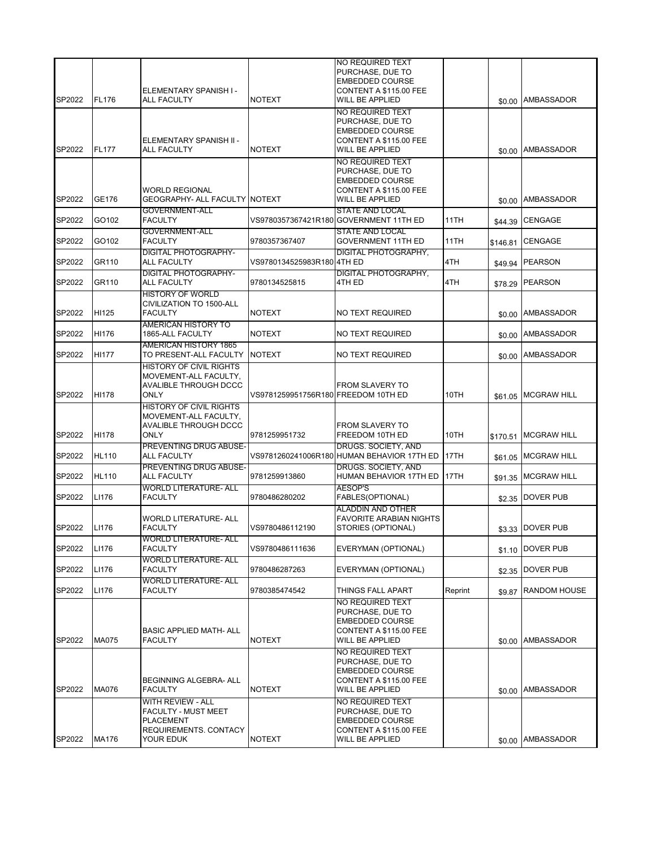| SP2022           | <b>FL176</b>   | ELEMENTARY SPANISH I -<br><b>ALL FACULTY</b>                                                       | <b>NOTEXT</b>                       | NO REQUIRED TEXT<br>PURCHASE, DUE TO<br><b>EMBEDDED COURSE</b><br>CONTENT A \$115.00 FEE<br><b>WILL BE APPLIED</b> |         |                     | \$0.00 AMBASSADOR                   |
|------------------|----------------|----------------------------------------------------------------------------------------------------|-------------------------------------|--------------------------------------------------------------------------------------------------------------------|---------|---------------------|-------------------------------------|
| SP2022           | <b>FL177</b>   | ELEMENTARY SPANISH II -<br><b>ALL FACULTY</b>                                                      | <b>NOTEXT</b>                       | NO REQUIRED TEXT<br>PURCHASE, DUE TO<br><b>EMBEDDED COURSE</b><br>CONTENT A \$115.00 FEE<br><b>WILL BE APPLIED</b> |         | \$0.00              | AMBASSADOR                          |
|                  |                | <b>WORLD REGIONAL</b>                                                                              |                                     | NO REQUIRED TEXT<br>PURCHASE, DUE TO<br><b>EMBEDDED COURSE</b><br>CONTENT A \$115.00 FEE                           |         |                     |                                     |
| SP2022<br>SP2022 | GE176<br>GO102 | GEOGRAPHY- ALL FACULTY NOTEXT<br><b>GOVERNMENT-ALL</b><br><b>FACULTY</b>                           |                                     | <b>WILL BE APPLIED</b><br><b>STATE AND LOCAL</b><br>VS9780357367421R180 GOVERNMENT 11TH ED                         | 11TH    | \$0.00              | <b>AMBASSADOR</b><br><b>CENGAGE</b> |
| SP2022           | GO102          | <b>GOVERNMENT-ALL</b><br><b>FACULTY</b>                                                            | 9780357367407                       | <b>STATE AND LOCAL</b><br><b>GOVERNMENT 11TH ED</b>                                                                | 11TH    | \$44.39<br>\$146.81 | <b>CENGAGE</b>                      |
| SP2022           | GR110          | <b>DIGITAL PHOTOGRAPHY-</b><br><b>ALL FACULTY</b>                                                  | VS9780134525983R180 4TH ED          | DIGITAL PHOTOGRAPHY,                                                                                               | 4TH     | \$49.94             | <b>PEARSON</b>                      |
| SP2022           | GR110          | <b>DIGITAL PHOTOGRAPHY-</b><br><b>ALL FACULTY</b>                                                  | 9780134525815                       | <b>DIGITAL PHOTOGRAPHY,</b><br>4TH ED                                                                              | 4TH     | \$78.29             | <b>PEARSON</b>                      |
| SP2022           | HI125          | <b>HISTORY OF WORLD</b><br>CIVILIZATION TO 1500-ALL<br><b>FACULTY</b>                              | <b>NOTEXT</b>                       | NO TEXT REQUIRED                                                                                                   |         |                     | \$0.00 AMBASSADOR                   |
| SP2022           | HI176          | <b>AMERICAN HISTORY TO</b><br>1865-ALL FACULTY                                                     | <b>NOTEXT</b>                       | NO TEXT REQUIRED                                                                                                   |         | \$0.00              | <b>AMBASSADOR</b>                   |
| SP2022           | <b>HI177</b>   | <b>AMERICAN HISTORY 1865</b><br>TO PRESENT-ALL FACULTY                                             | <b>NOTEXT</b>                       | NO TEXT REQUIRED                                                                                                   |         | \$0.00              | AMBASSADOR                          |
| SP2022           | <b>HI178</b>   | <b>HISTORY OF CIVIL RIGHTS</b><br>MOVEMENT-ALL FACULTY,<br>AVALIBLE THROUGH DCCC<br><b>ONLY</b>    | VS9781259951756R180 FREEDOM 10TH ED | <b>FROM SLAVERY TO</b>                                                                                             | 10TH    |                     | \$61.05 MCGRAW HILL                 |
| SP2022           | HI178          | <b>HISTORY OF CIVIL RIGHTS</b><br>MOVEMENT-ALL FACULTY,<br>AVALIBLE THROUGH DCCC<br><b>ONLY</b>    | 9781259951732                       | <b>FROM SLAVERY TO</b><br>FREEDOM 10TH ED                                                                          | 10TH    | \$170.51            | <b>MCGRAW HILL</b>                  |
| SP2022           | <b>HL110</b>   | <b>PREVENTING DRUG ABUSE-</b><br><b>ALL FACULTY</b>                                                |                                     | DRUGS. SOCIETY, AND<br>VS9781260241006R180 HUMAN BEHAVIOR 17TH ED                                                  | 17TH    | \$61.05             | <b>MCGRAW HILL</b>                  |
| SP2022           | <b>HL110</b>   | <b>PREVENTING DRUG ABUSE-</b><br><b>ALL FACULTY</b>                                                | 9781259913860                       | DRUGS. SOCIETY, AND<br>HUMAN BEHAVIOR 17TH ED                                                                      | 17TH    | \$91.35             | <b>MCGRAW HILL</b>                  |
| SP2022           | LI176          | <b>WORLD LITERATURE- ALL</b><br><b>FACULTY</b>                                                     | 9780486280202                       | <b>AESOP'S</b><br>FABLES(OPTIONAL)                                                                                 |         |                     | \$2.35 DOVER PUB                    |
| SP2022           | LI176          | <b>WORLD LITERATURE- ALL</b><br><b>FACULTY</b>                                                     | VS9780486112190                     | <b>ALADDIN AND OTHER</b><br><b>FAVORITE ARABIAN NIGHTS</b><br>STORIES (OPTIONAL)                                   |         |                     | \$3.33 DOVER PUB                    |
| SP2022           | LI176          | WORLD LITERATURE- ALL<br><b>FACULTY</b>                                                            | VS9780486111636                     | EVERYMAN (OPTIONAL)                                                                                                |         |                     | \$1.10 DOVER PUB                    |
| SP2022           | LI176          | <b>WORLD LITERATURE- ALL</b><br><b>FACULTY</b>                                                     | 9780486287263                       | EVERYMAN (OPTIONAL)                                                                                                |         |                     | \$2.35 DOVER PUB                    |
| SP2022           | LI176          | <b>WORLD LITERATURE- ALL</b><br><b>FACULTY</b>                                                     | 9780385474542                       | THINGS FALL APART                                                                                                  | Reprint | \$9.87              | <b>RANDOM HOUSE</b>                 |
| SP2022           | MA075          | <b>BASIC APPLIED MATH- ALL</b><br><b>FACULTY</b>                                                   | <b>NOTEXT</b>                       | NO REQUIRED TEXT<br>PURCHASE, DUE TO<br><b>EMBEDDED COURSE</b><br>CONTENT A \$115.00 FEE<br>WILL BE APPLIED        |         |                     | \$0.00 AMBASSADOR                   |
| SP2022           | MA076          | BEGINNING ALGEBRA- ALL<br><b>FACULTY</b>                                                           | <b>NOTEXT</b>                       | NO REQUIRED TEXT<br>PURCHASE, DUE TO<br><b>EMBEDDED COURSE</b><br>CONTENT A \$115.00 FEE<br>WILL BE APPLIED        |         |                     | \$0.00 AMBASSADOR                   |
| SP2022           | MA176          | WITH REVIEW - ALL<br>FACULTY - MUST MEET<br><b>PLACEMENT</b><br>REQUIREMENTS. CONTACY<br>YOUR EDUK | <b>NOTEXT</b>                       | NO REQUIRED TEXT<br>PURCHASE, DUE TO<br><b>EMBEDDED COURSE</b><br>CONTENT A \$115.00 FEE<br>WILL BE APPLIED        |         |                     | \$0.00 AMBASSADOR                   |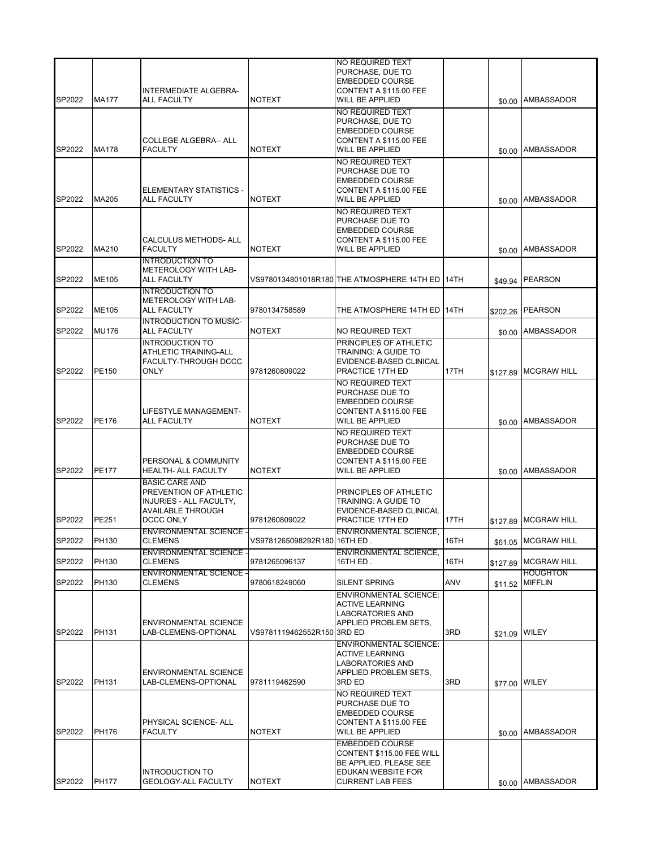| SP2022 | <b>MA177</b> | INTERMEDIATE ALGEBRA-                                                                  |                              | NO REQUIRED TEXT<br>PURCHASE, DUE TO<br><b>EMBEDDED COURSE</b><br>CONTENT A \$115.00 FEE                                       |      |          |                                         |
|--------|--------------|----------------------------------------------------------------------------------------|------------------------------|--------------------------------------------------------------------------------------------------------------------------------|------|----------|-----------------------------------------|
|        |              | <b>ALL FACULTY</b>                                                                     | <b>NOTEXT</b>                | <b>WILL BE APPLIED</b><br>NO REQUIRED TEXT<br>PURCHASE, DUE TO<br><b>EMBEDDED COURSE</b>                                       |      |          | \$0.00 AMBASSADOR                       |
| SP2022 | <b>MA178</b> | COLLEGE ALGEBRA-- ALL<br><b>FACULTY</b>                                                | <b>NOTEXT</b>                | CONTENT A \$115.00 FEE<br><b>WILL BE APPLIED</b>                                                                               |      | \$0.00   | AMBASSADOR                              |
|        |              | ELEMENTARY STATISTICS -                                                                |                              | NO REQUIRED TEXT<br>PURCHASE DUE TO<br><b>EMBEDDED COURSE</b><br>CONTENT A \$115.00 FEE                                        |      |          |                                         |
| SP2022 | MA205        | <b>ALL FACULTY</b>                                                                     | <b>NOTEXT</b>                | <b>WILL BE APPLIED</b><br>NO REQUIRED TEXT                                                                                     |      | \$0.00   | AMBASSADOR                              |
| SP2022 | MA210        | CALCULUS METHODS- ALL<br><b>FACULTY</b>                                                | <b>NOTEXT</b>                | PURCHASE DUE TO<br><b>EMBEDDED COURSE</b><br>CONTENT A \$115.00 FEE<br><b>WILL BE APPLIED</b>                                  |      | \$0.00   | <b>AMBASSADOR</b>                       |
|        |              | <b>INTRODUCTION TO</b>                                                                 |                              |                                                                                                                                |      |          |                                         |
| SP2022 | ME105        | METEROLOGY WITH LAB-<br><b>ALL FACULTY</b><br><b>INTRODUCTION TO</b>                   |                              | VS9780134801018R180 THE ATMOSPHERE 14TH ED                                                                                     | 14TH | \$49.94  | <b>PEARSON</b>                          |
| SP2022 | ME105        | METEROLOGY WITH LAB-<br><b>ALL FACULTY</b>                                             | 9780134758589                | THE ATMOSPHERE 14TH ED                                                                                                         | 14TH | \$202.26 | <b>PEARSON</b>                          |
| SP2022 | <b>MU176</b> | INTRODUCTION TO MUSIC-<br><b>ALL FACULTY</b>                                           | <b>NOTEXT</b>                | NO REQUIRED TEXT                                                                                                               |      | \$0.00   | <b>AMBASSADOR</b>                       |
| SP2022 | PE150        | <b>INTRODUCTION TO</b><br>ATHLETIC TRAINING-ALL<br>FACULTY-THROUGH DCCC<br><b>ONLY</b> | 9781260809022                | PRINCIPLES OF ATHLETIC<br><b>TRAINING: A GUIDE TO</b><br>EVIDENCE-BASED CLINICAL<br>PRACTICE 17TH ED                           | 17TH | \$127.89 | <b>MCGRAW HILL</b>                      |
|        |              | LIFESTYLE MANAGEMENT-                                                                  |                              | NO REQUIRED TEXT<br>PURCHASE DUE TO<br><b>EMBEDDED COURSE</b><br>CONTENT A \$115.00 FEE                                        |      |          |                                         |
| SP2022 | PE176        | <b>ALL FACULTY</b>                                                                     | <b>NOTEXT</b>                | <b>WILL BE APPLIED</b>                                                                                                         |      |          | \$0.00 AMBASSADOR                       |
| SP2022 | <b>PE177</b> | PERSONAL & COMMUNITY<br><b>HEALTH- ALL FACULTY</b>                                     | <b>NOTEXT</b>                | NO REQUIRED TEXT<br>PURCHASE DUE TO<br><b>EMBEDDED COURSE</b><br>CONTENT A \$115.00 FEE<br><b>WILL BE APPLIED</b>              |      |          | <b>AMBASSADOR</b>                       |
|        |              | <b>BASIC CARE AND</b><br>PREVENTION OF ATHLETIC                                        |                              | PRINCIPLES OF ATHLETIC                                                                                                         |      | \$0.00   |                                         |
|        |              | INJURIES - ALL FACULTY,<br><b>AVAILABLE THROUGH</b>                                    |                              | <b>TRAINING: A GUIDE TO</b><br>EVIDENCE-BASED CLINICAL                                                                         |      |          |                                         |
| SP2022 | PE251        | DCCC ONLY<br><b>ENVIRONMENTAL SCIENCE -</b>                                            | 9781260809022                | PRACTICE 17TH ED<br><b>ENVIRONMENTAL SCIENCE,</b>                                                                              | 17TH | \$127.89 | <b>MCGRAW HILL</b>                      |
| SP2022 | PH130        | <b>CLEMENS</b>                                                                         | VS9781265098292R180 16TH ED. |                                                                                                                                | 16TH | \$61.05  | <b>MCGRAW HILL</b>                      |
| SP2022 | PH130        | ENVIRONMENTAL SCIENCE -<br><b>CLEMENS</b><br><b>ENVIRONMENTAL SCIENCE -</b>            | 9781265096137                | <b>ENVIRONMENTAL SCIENCE,</b><br>16TH ED.                                                                                      | 16TH |          | \$127.89 MCGRAW HILL<br><b>HOUGHTON</b> |
| SP2022 | PH130        | <b>CLEMENS</b>                                                                         | 9780618249060                | SILENT SPRING                                                                                                                  | ANV  | \$11.52  | <b>MIFFLIN</b>                          |
| SP2022 | PH131        | <b>ENVIRONMENTAL SCIENCE</b><br>LAB-CLEMENS-OPTIONAL                                   | VS9781119462552R150 3RD ED   | <b>ENVIRONMENTAL SCIENCE:</b><br><b>ACTIVE LEARNING</b><br><b>LABORATORIES AND</b><br>APPLIED PROBLEM SETS,                    | 3RD  | \$21.09  | <b>WILEY</b>                            |
|        |              | <b>ENVIRONMENTAL SCIENCE</b>                                                           |                              | <b>ENVIRONMENTAL SCIENCE:</b><br><b>ACTIVE LEARNING</b><br><b>LABORATORIES AND</b><br>APPLIED PROBLEM SETS,                    |      |          |                                         |
| SP2022 | PH131        | LAB-CLEMENS-OPTIONAL                                                                   | 9781119462590                | 3RD ED<br>NO REQUIRED TEXT                                                                                                     | 3RD  | \$77.00  | <b>WILEY</b>                            |
| SP2022 | <b>PH176</b> | PHYSICAL SCIENCE- ALL<br><b>FACULTY</b>                                                | <b>NOTEXT</b>                | PURCHASE DUE TO<br><b>EMBEDDED COURSE</b><br>CONTENT A \$115.00 FEE<br><b>WILL BE APPLIED</b>                                  |      |          | \$0.00 AMBASSADOR                       |
| SP2022 | <b>PH177</b> | <b>INTRODUCTION TO</b><br><b>GEOLOGY-ALL FACULTY</b>                                   | <b>NOTEXT</b>                | <b>EMBEDDED COURSE</b><br>CONTENT \$115.00 FEE WILL<br>BE APPLIED. PLEASE SEE<br>EDUKAN WEBSITE FOR<br><b>CURRENT LAB FEES</b> |      |          | \$0.00 AMBASSADOR                       |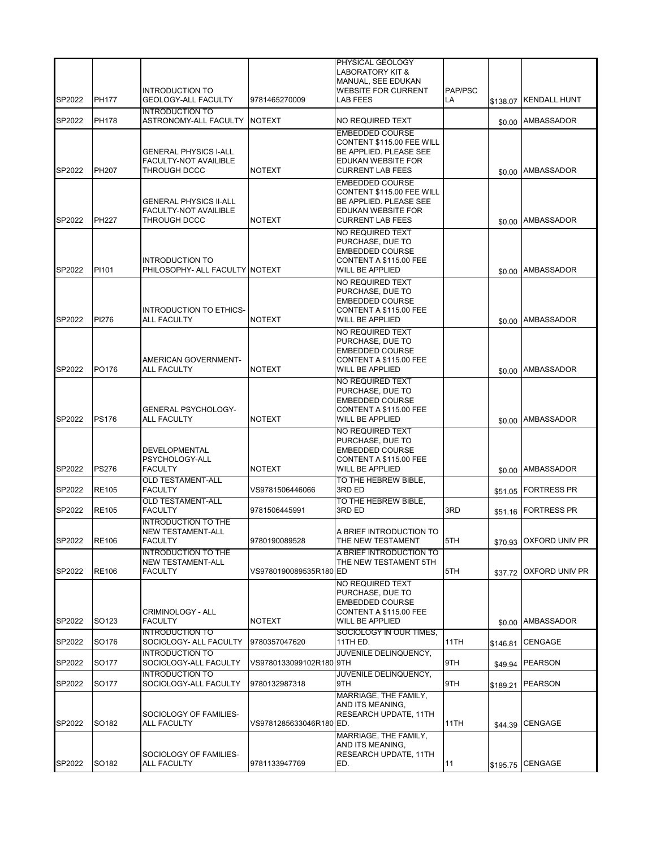|        |                   | <b>INTRODUCTION TO</b>                                                       |                         | PHYSICAL GEOLOGY<br>LABORATORY KIT &<br>MANUAL, SEE EDUKAN<br><b>WEBSITE FOR CURRENT</b>                                       | PAP/PSC |          |                     |
|--------|-------------------|------------------------------------------------------------------------------|-------------------------|--------------------------------------------------------------------------------------------------------------------------------|---------|----------|---------------------|
| SP2022 | <b>PH177</b>      | GEOLOGY-ALL FACULTY                                                          | 9781465270009           | LAB FEES                                                                                                                       | LA      | \$138.07 | <b>KENDALL HUNT</b> |
| SP2022 | <b>PH178</b>      | <b>INTRODUCTION TO</b><br>ASTRONOMY-ALL FACULTY                              | <b>NOTEXT</b>           | NO REQUIRED TEXT                                                                                                               |         |          | \$0.00 AMBASSADOR   |
| SP2022 | PH207             | <b>GENERAL PHYSICS I-ALL</b><br><b>FACULTY-NOT AVAILIBLE</b><br>THROUGH DCCC | <b>NOTEXT</b>           | <b>EMBEDDED COURSE</b><br>CONTENT \$115.00 FEE WILL<br>BE APPLIED. PLEASE SEE<br>EDUKAN WEBSITE FOR<br><b>CURRENT LAB FEES</b> |         |          | \$0.00 AMBASSADOR   |
| SP2022 | <b>PH227</b>      | <b>GENERAL PHYSICS II-ALL</b><br>FACULTY-NOT AVAILIBLE<br>THROUGH DCCC       | <b>NOTEXT</b>           | <b>EMBEDDED COURSE</b><br>CONTENT \$115.00 FEE WILL<br>BE APPLIED. PLEASE SEE<br>EDUKAN WEBSITE FOR<br><b>CURRENT LAB FEES</b> |         |          | \$0.00 AMBASSADOR   |
| SP2022 | PI101             | <b>INTRODUCTION TO</b><br>PHILOSOPHY- ALL FACULTY NOTEXT                     |                         | NO REQUIRED TEXT<br>PURCHASE, DUE TO<br><b>EMBEDDED COURSE</b><br>CONTENT A \$115.00 FEE<br><b>WILL BE APPLIED</b>             |         |          | \$0.00 AMBASSADOR   |
| SP2022 | PI276             | <b>INTRODUCTION TO ETHICS-</b><br><b>ALL FACULTY</b>                         | <b>NOTEXT</b>           | NO REQUIRED TEXT<br>PURCHASE, DUE TO<br><b>EMBEDDED COURSE</b><br>CONTENT A \$115.00 FEE<br>WILL BE APPLIED                    |         |          | \$0.00 AMBASSADOR   |
| SP2022 | PO176             | AMERICAN GOVERNMENT-<br><b>ALL FACULTY</b>                                   | <b>NOTEXT</b>           | NO REQUIRED TEXT<br>PURCHASE, DUE TO<br><b>EMBEDDED COURSE</b><br>CONTENT A \$115.00 FEE<br>WILL BE APPLIED                    |         |          | \$0.00 AMBASSADOR   |
| SP2022 | <b>PS176</b>      | <b>GENERAL PSYCHOLOGY-</b><br><b>ALL FACULTY</b>                             | <b>NOTEXT</b>           | NO REQUIRED TEXT<br>PURCHASE, DUE TO<br><b>EMBEDDED COURSE</b><br>CONTENT A \$115.00 FEE<br><b>WILL BE APPLIED</b>             |         |          | \$0.00 AMBASSADOR   |
| SP2022 | <b>PS276</b>      | DEVELOPMENTAL<br>PSYCHOLOGY-ALL<br><b>FACULTY</b>                            | <b>NOTEXT</b>           | NO REQUIRED TEXT<br>PURCHASE, DUE TO<br><b>EMBEDDED COURSE</b><br>CONTENT A \$115.00 FEE<br><b>WILL BE APPLIED</b>             |         |          | \$0.00 AMBASSADOR   |
| SP2022 | <b>RE105</b>      | <b>OLD TESTAMENT-ALL</b><br><b>FACULTY</b>                                   | VS9781506446066         | TO THE HEBREW BIBLE,<br>3RD ED                                                                                                 |         | \$51.05  | <b>FORTRESS PR</b>  |
| SP2022 | <b>RE105</b>      | <b>OLD TESTAMENT-ALL</b><br><b>FACULTY</b>                                   | 9781506445991           | TO THE HEBREW BIBLE,<br>3RD ED                                                                                                 | 3RD     | \$51.16  | <b>FORTRESS PR</b>  |
| SP2022 | <b>RE106</b>      | <b>INTRODUCTION TO THE</b><br>NEW TESTAMENT-ALL<br><b>FACULTY</b>            | 9780190089528           | A BRIEF INTRODUCTION TO<br>THE NEW TESTAMENT                                                                                   | 5TH     | \$70.93  | OXFORD UNIV PR      |
| SP2022 | <b>RE106</b>      | <b>INTRODUCTION TO THE</b><br>NEW TESTAMENT-ALL<br><b>FACULTY</b>            | VS9780190089535R180 ED  | A BRIEF INTRODUCTION TO<br>THE NEW TESTAMENT 5TH                                                                               | 5TH     | \$37.72  | OXFORD UNIV PR      |
| SP2022 | SO <sub>123</sub> | CRIMINOLOGY - ALL<br><b>FACULTY</b>                                          | <b>NOTEXT</b>           | NO REQUIRED TEXT<br>PURCHASE, DUE TO<br><b>EMBEDDED COURSE</b><br>CONTENT A \$115.00 FEE<br>WILL BE APPLIED                    |         |          | \$0.00 AMBASSADOR   |
| SP2022 | SO176             | <b>INTRODUCTION TO</b><br>SOCIOLOGY- ALL FACULTY                             | 9780357047620           | SOCIOLOGY IN OUR TIMES,<br>11TH ED.                                                                                            | 11TH    | \$146.81 | CENGAGE             |
| SP2022 | SO177             | <b>INTRODUCTION TO</b><br>SOCIOLOGY-ALL FACULTY                              | VS9780133099102R180 9TH | JUVENILE DELINQUENCY,                                                                                                          | 9TH     | \$49.94  | <b>PEARSON</b>      |
| SP2022 | SO177             | <b>INTRODUCTION TO</b><br>SOCIOLOGY-ALL FACULTY                              | 9780132987318           | JUVENILE DELINQUENCY,<br>9TH                                                                                                   | 9TH     | \$189.21 | <b>PEARSON</b>      |
| SP2022 | SO182             | SOCIOLOGY OF FAMILIES-<br><b>ALL FACULTY</b>                                 | VS9781285633046R180 ED. | MARRIAGE, THE FAMILY,<br>AND ITS MEANING,<br>RESEARCH UPDATE, 11TH                                                             | 11TH    |          | \$44.39 CENGAGE     |
| SP2022 | SO182             | SOCIOLOGY OF FAMILIES-<br><b>ALL FACULTY</b>                                 | 9781133947769           | MARRIAGE, THE FAMILY,<br>AND ITS MEANING,<br>RESEARCH UPDATE, 11TH<br>ED.                                                      | 11      | \$195.75 | <b>CENGAGE</b>      |